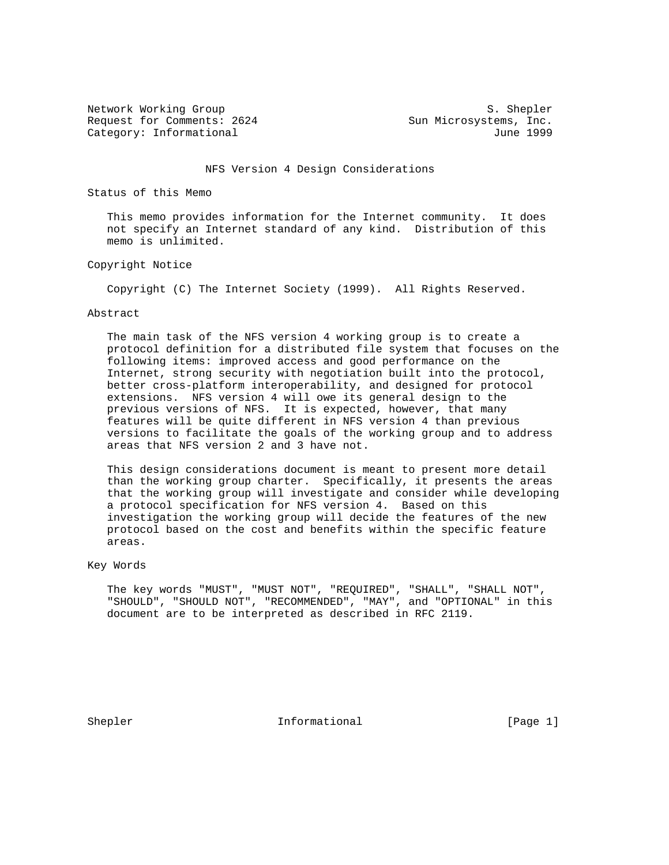Network Working Group S. Shepler Request for Comments: 2624 Sun Microsystems, Inc. Category: Informational and Internal June 1999

#### NFS Version 4 Design Considerations

Status of this Memo

 This memo provides information for the Internet community. It does not specify an Internet standard of any kind. Distribution of this memo is unlimited.

#### Copyright Notice

Copyright (C) The Internet Society (1999). All Rights Reserved.

#### Abstract

 The main task of the NFS version 4 working group is to create a protocol definition for a distributed file system that focuses on the following items: improved access and good performance on the Internet, strong security with negotiation built into the protocol, better cross-platform interoperability, and designed for protocol extensions. NFS version 4 will owe its general design to the previous versions of NFS. It is expected, however, that many features will be quite different in NFS version 4 than previous versions to facilitate the goals of the working group and to address areas that NFS version 2 and 3 have not.

 This design considerations document is meant to present more detail than the working group charter. Specifically, it presents the areas that the working group will investigate and consider while developing a protocol specification for NFS version 4. Based on this investigation the working group will decide the features of the new protocol based on the cost and benefits within the specific feature areas.

Key Words

 The key words "MUST", "MUST NOT", "REQUIRED", "SHALL", "SHALL NOT", "SHOULD", "SHOULD NOT", "RECOMMENDED", "MAY", and "OPTIONAL" in this document are to be interpreted as described in RFC 2119.

Shepler Informational [Page 1]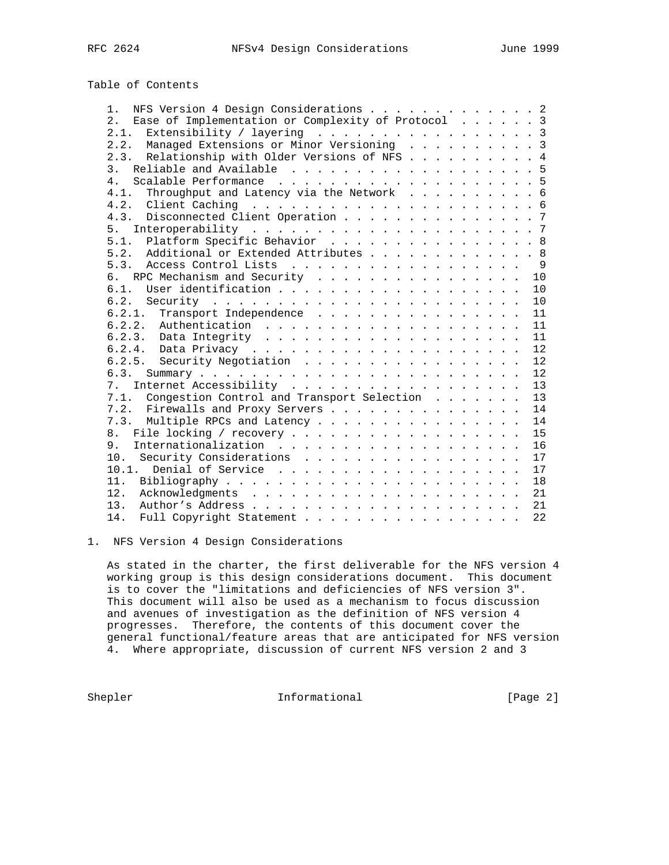# Table of Contents

| NFS Version 4 Design Considerations 2<br>$1$ .        |    |
|-------------------------------------------------------|----|
| 2. Ease of Implementation or Complexity of Protocol 3 |    |
| Extensibility / layering 3<br>2.1.                    |    |
| 2.2. Managed Extensions or Minor Versioning 3         |    |
| 2.3. Relationship with Older Versions of NFS 4        |    |
|                                                       |    |
| 4 <sup>1</sup>                                        |    |
| 4.1. Throughput and Latency via the Network 6         |    |
|                                                       |    |
| 4.3. Disconnected Client Operation 7                  |    |
| 5.                                                    |    |
| Platform Specific Behavior 8<br>5.1.                  |    |
| 5.2. Additional or Extended Attributes 8              |    |
|                                                       |    |
| 6. RPC Mechanism and Security                         | 10 |
|                                                       | 10 |
|                                                       | 10 |
| 6.2.1. Transport Independence 11                      |    |
|                                                       | 11 |
|                                                       | 11 |
|                                                       | 12 |
| 6.2.5. Security Negotiation                           | 12 |
| 6.3.                                                  | 12 |
| 7. Internet Accessibility                             | 13 |
| 7.1. Congestion Control and Transport Selection 13    |    |
| 7.2. Firewalls and Proxy Servers 14                   |    |
| 7.3. Multiple RPCs and Latency 14                     |    |
|                                                       | 15 |
| 9.                                                    | 16 |
| 10. Security Considerations                           | 17 |
|                                                       | 17 |
|                                                       | 18 |
|                                                       |    |
|                                                       |    |
| Full Copyright Statement<br>14.                       | 22 |
|                                                       |    |

1. NFS Version 4 Design Considerations

 As stated in the charter, the first deliverable for the NFS version 4 working group is this design considerations document. This document is to cover the "limitations and deficiencies of NFS version 3". This document will also be used as a mechanism to focus discussion and avenues of investigation as the definition of NFS version 4 progresses. Therefore, the contents of this document cover the general functional/feature areas that are anticipated for NFS version 4. Where appropriate, discussion of current NFS version 2 and 3

Shepler Informational [Page 2]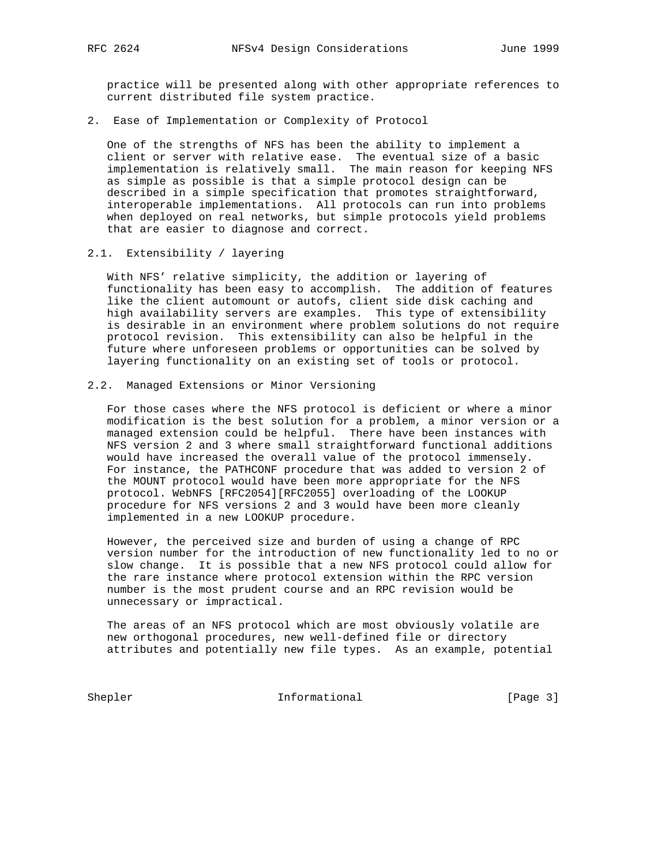practice will be presented along with other appropriate references to current distributed file system practice.

2. Ease of Implementation or Complexity of Protocol

 One of the strengths of NFS has been the ability to implement a client or server with relative ease. The eventual size of a basic implementation is relatively small. The main reason for keeping NFS as simple as possible is that a simple protocol design can be described in a simple specification that promotes straightforward, interoperable implementations. All protocols can run into problems when deployed on real networks, but simple protocols yield problems that are easier to diagnose and correct.

2.1. Extensibility / layering

 With NFS' relative simplicity, the addition or layering of functionality has been easy to accomplish. The addition of features like the client automount or autofs, client side disk caching and high availability servers are examples. This type of extensibility is desirable in an environment where problem solutions do not require protocol revision. This extensibility can also be helpful in the future where unforeseen problems or opportunities can be solved by layering functionality on an existing set of tools or protocol.

#### 2.2. Managed Extensions or Minor Versioning

 For those cases where the NFS protocol is deficient or where a minor modification is the best solution for a problem, a minor version or a managed extension could be helpful. There have been instances with NFS version 2 and 3 where small straightforward functional additions would have increased the overall value of the protocol immensely. For instance, the PATHCONF procedure that was added to version 2 of the MOUNT protocol would have been more appropriate for the NFS protocol. WebNFS [RFC2054][RFC2055] overloading of the LOOKUP procedure for NFS versions 2 and 3 would have been more cleanly implemented in a new LOOKUP procedure.

 However, the perceived size and burden of using a change of RPC version number for the introduction of new functionality led to no or slow change. It is possible that a new NFS protocol could allow for the rare instance where protocol extension within the RPC version number is the most prudent course and an RPC revision would be unnecessary or impractical.

 The areas of an NFS protocol which are most obviously volatile are new orthogonal procedures, new well-defined file or directory attributes and potentially new file types. As an example, potential

Shepler Informational [Page 3]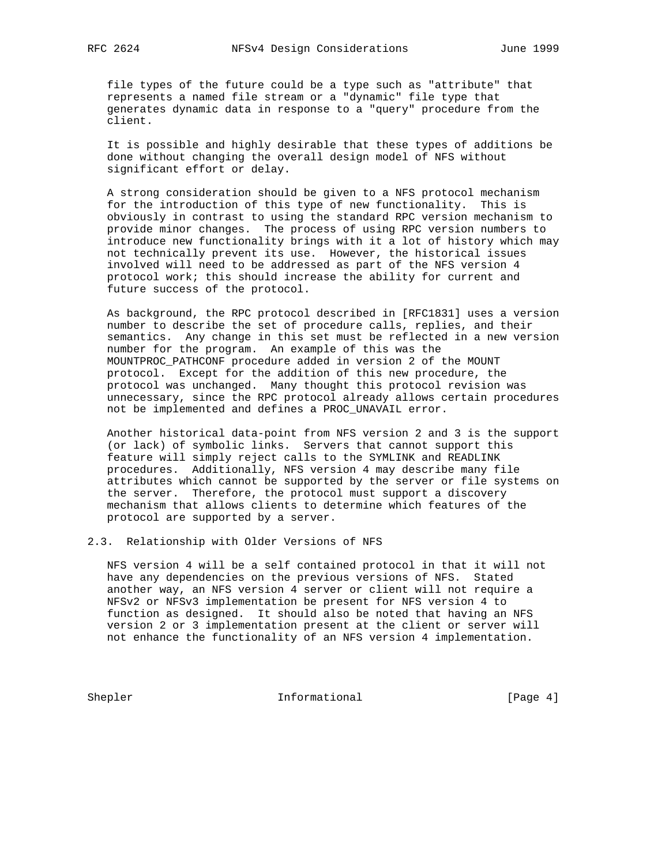file types of the future could be a type such as "attribute" that represents a named file stream or a "dynamic" file type that generates dynamic data in response to a "query" procedure from the client.

 It is possible and highly desirable that these types of additions be done without changing the overall design model of NFS without significant effort or delay.

 A strong consideration should be given to a NFS protocol mechanism for the introduction of this type of new functionality. This is obviously in contrast to using the standard RPC version mechanism to provide minor changes. The process of using RPC version numbers to introduce new functionality brings with it a lot of history which may not technically prevent its use. However, the historical issues involved will need to be addressed as part of the NFS version 4 protocol work; this should increase the ability for current and future success of the protocol.

 As background, the RPC protocol described in [RFC1831] uses a version number to describe the set of procedure calls, replies, and their semantics. Any change in this set must be reflected in a new version number for the program. An example of this was the MOUNTPROC\_PATHCONF procedure added in version 2 of the MOUNT protocol. Except for the addition of this new procedure, the protocol was unchanged. Many thought this protocol revision was unnecessary, since the RPC protocol already allows certain procedures not be implemented and defines a PROC\_UNAVAIL error.

 Another historical data-point from NFS version 2 and 3 is the support (or lack) of symbolic links. Servers that cannot support this feature will simply reject calls to the SYMLINK and READLINK procedures. Additionally, NFS version 4 may describe many file attributes which cannot be supported by the server or file systems on the server. Therefore, the protocol must support a discovery mechanism that allows clients to determine which features of the protocol are supported by a server.

2.3. Relationship with Older Versions of NFS

 NFS version 4 will be a self contained protocol in that it will not have any dependencies on the previous versions of NFS. Stated another way, an NFS version 4 server or client will not require a NFSv2 or NFSv3 implementation be present for NFS version 4 to function as designed. It should also be noted that having an NFS version 2 or 3 implementation present at the client or server will not enhance the functionality of an NFS version 4 implementation.

Shepler Informational [Page 4]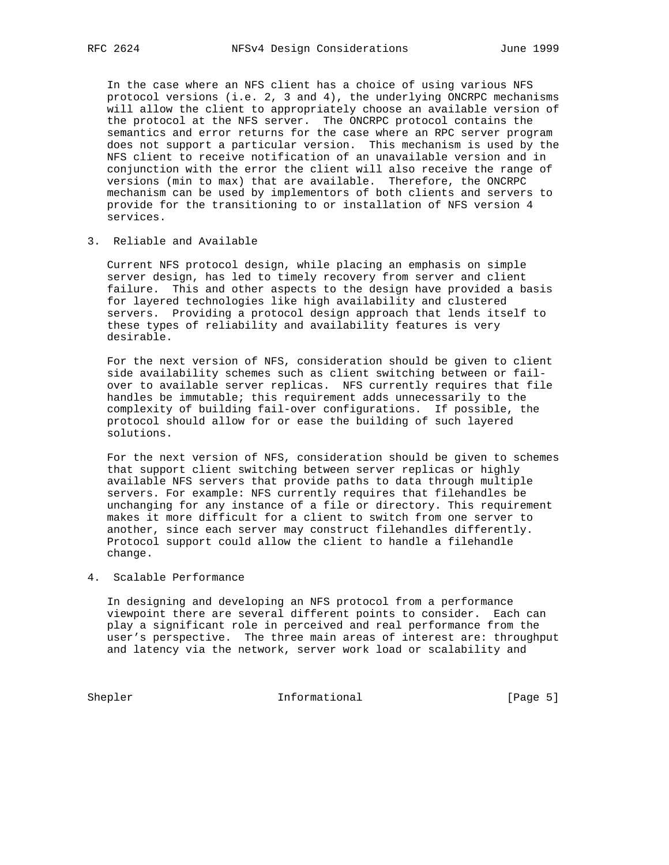In the case where an NFS client has a choice of using various NFS protocol versions (i.e. 2, 3 and 4), the underlying ONCRPC mechanisms will allow the client to appropriately choose an available version of the protocol at the NFS server. The ONCRPC protocol contains the semantics and error returns for the case where an RPC server program does not support a particular version. This mechanism is used by the NFS client to receive notification of an unavailable version and in conjunction with the error the client will also receive the range of versions (min to max) that are available. Therefore, the ONCRPC mechanism can be used by implementors of both clients and servers to provide for the transitioning to or installation of NFS version 4 services.

3. Reliable and Available

 Current NFS protocol design, while placing an emphasis on simple server design, has led to timely recovery from server and client failure. This and other aspects to the design have provided a basis for layered technologies like high availability and clustered servers. Providing a protocol design approach that lends itself to these types of reliability and availability features is very desirable.

 For the next version of NFS, consideration should be given to client side availability schemes such as client switching between or fail over to available server replicas. NFS currently requires that file handles be immutable; this requirement adds unnecessarily to the complexity of building fail-over configurations. If possible, the protocol should allow for or ease the building of such layered solutions.

 For the next version of NFS, consideration should be given to schemes that support client switching between server replicas or highly available NFS servers that provide paths to data through multiple servers. For example: NFS currently requires that filehandles be unchanging for any instance of a file or directory. This requirement makes it more difficult for a client to switch from one server to another, since each server may construct filehandles differently. Protocol support could allow the client to handle a filehandle change.

#### 4. Scalable Performance

 In designing and developing an NFS protocol from a performance viewpoint there are several different points to consider. Each can play a significant role in perceived and real performance from the user's perspective. The three main areas of interest are: throughput and latency via the network, server work load or scalability and

Shepler Informational [Page 5]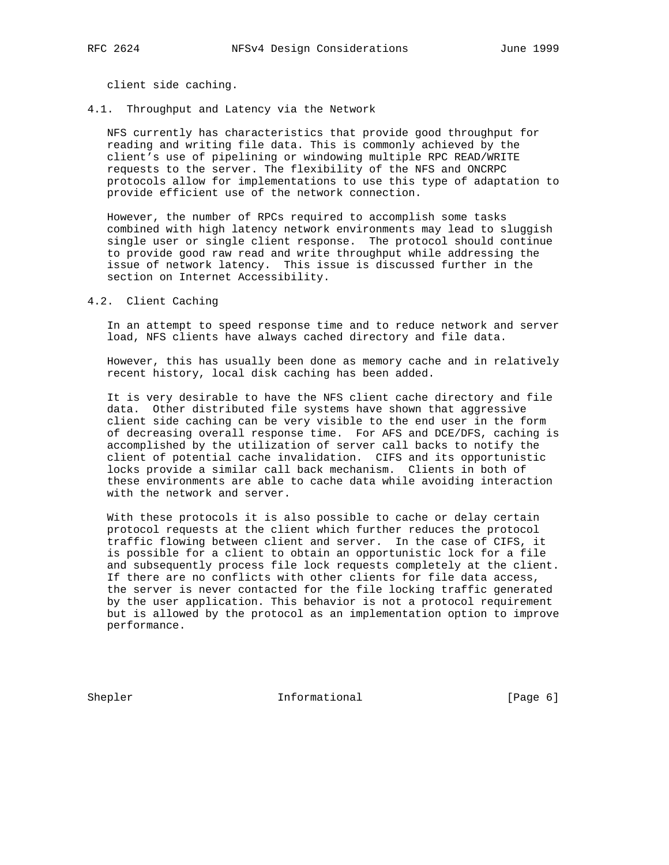client side caching.

4.1. Throughput and Latency via the Network

 NFS currently has characteristics that provide good throughput for reading and writing file data. This is commonly achieved by the client's use of pipelining or windowing multiple RPC READ/WRITE requests to the server. The flexibility of the NFS and ONCRPC protocols allow for implementations to use this type of adaptation to provide efficient use of the network connection.

 However, the number of RPCs required to accomplish some tasks combined with high latency network environments may lead to sluggish single user or single client response. The protocol should continue to provide good raw read and write throughput while addressing the issue of network latency. This issue is discussed further in the section on Internet Accessibility.

4.2. Client Caching

 In an attempt to speed response time and to reduce network and server load, NFS clients have always cached directory and file data.

 However, this has usually been done as memory cache and in relatively recent history, local disk caching has been added.

 It is very desirable to have the NFS client cache directory and file data. Other distributed file systems have shown that aggressive client side caching can be very visible to the end user in the form of decreasing overall response time. For AFS and DCE/DFS, caching is accomplished by the utilization of server call backs to notify the client of potential cache invalidation. CIFS and its opportunistic locks provide a similar call back mechanism. Clients in both of these environments are able to cache data while avoiding interaction with the network and server.

 With these protocols it is also possible to cache or delay certain protocol requests at the client which further reduces the protocol traffic flowing between client and server. In the case of CIFS, it is possible for a client to obtain an opportunistic lock for a file and subsequently process file lock requests completely at the client. If there are no conflicts with other clients for file data access, the server is never contacted for the file locking traffic generated by the user application. This behavior is not a protocol requirement but is allowed by the protocol as an implementation option to improve performance.

Shepler Informational [Page 6]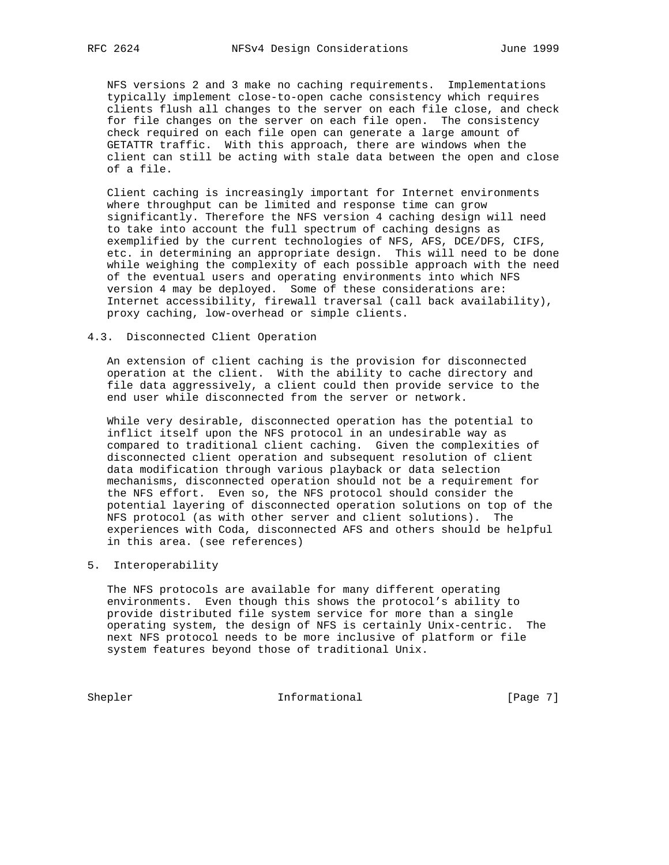NFS versions 2 and 3 make no caching requirements. Implementations typically implement close-to-open cache consistency which requires clients flush all changes to the server on each file close, and check for file changes on the server on each file open. The consistency check required on each file open can generate a large amount of GETATTR traffic. With this approach, there are windows when the client can still be acting with stale data between the open and close of a file.

 Client caching is increasingly important for Internet environments where throughput can be limited and response time can grow significantly. Therefore the NFS version 4 caching design will need to take into account the full spectrum of caching designs as exemplified by the current technologies of NFS, AFS, DCE/DFS, CIFS, etc. in determining an appropriate design. This will need to be done while weighing the complexity of each possible approach with the need of the eventual users and operating environments into which NFS version 4 may be deployed. Some of these considerations are: Internet accessibility, firewall traversal (call back availability), proxy caching, low-overhead or simple clients.

#### 4.3. Disconnected Client Operation

 An extension of client caching is the provision for disconnected operation at the client. With the ability to cache directory and file data aggressively, a client could then provide service to the end user while disconnected from the server or network.

 While very desirable, disconnected operation has the potential to inflict itself upon the NFS protocol in an undesirable way as compared to traditional client caching. Given the complexities of disconnected client operation and subsequent resolution of client data modification through various playback or data selection mechanisms, disconnected operation should not be a requirement for the NFS effort. Even so, the NFS protocol should consider the potential layering of disconnected operation solutions on top of the NFS protocol (as with other server and client solutions). The experiences with Coda, disconnected AFS and others should be helpful in this area. (see references)

5. Interoperability

 The NFS protocols are available for many different operating environments. Even though this shows the protocol's ability to provide distributed file system service for more than a single operating system, the design of NFS is certainly Unix-centric. The next NFS protocol needs to be more inclusive of platform or file system features beyond those of traditional Unix.

Shepler Informational [Page 7]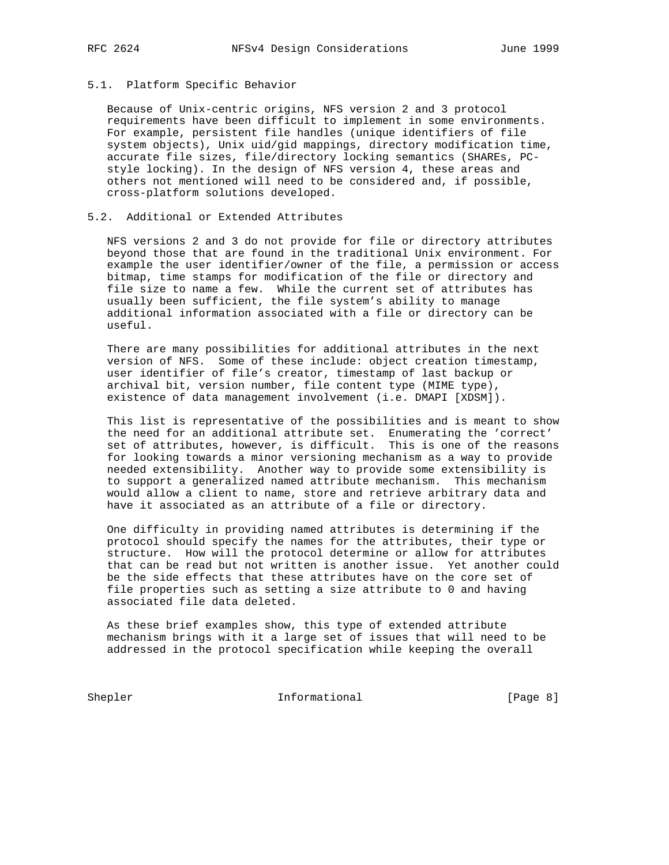#### 5.1. Platform Specific Behavior

 Because of Unix-centric origins, NFS version 2 and 3 protocol requirements have been difficult to implement in some environments. For example, persistent file handles (unique identifiers of file system objects), Unix uid/gid mappings, directory modification time, accurate file sizes, file/directory locking semantics (SHAREs, PC style locking). In the design of NFS version 4, these areas and others not mentioned will need to be considered and, if possible, cross-platform solutions developed.

#### 5.2. Additional or Extended Attributes

 NFS versions 2 and 3 do not provide for file or directory attributes beyond those that are found in the traditional Unix environment. For example the user identifier/owner of the file, a permission or access bitmap, time stamps for modification of the file or directory and file size to name a few. While the current set of attributes has usually been sufficient, the file system's ability to manage additional information associated with a file or directory can be useful.

 There are many possibilities for additional attributes in the next version of NFS. Some of these include: object creation timestamp, user identifier of file's creator, timestamp of last backup or archival bit, version number, file content type (MIME type), existence of data management involvement (i.e. DMAPI [XDSM]).

 This list is representative of the possibilities and is meant to show the need for an additional attribute set. Enumerating the 'correct' set of attributes, however, is difficult. This is one of the reasons for looking towards a minor versioning mechanism as a way to provide needed extensibility. Another way to provide some extensibility is to support a generalized named attribute mechanism. This mechanism would allow a client to name, store and retrieve arbitrary data and have it associated as an attribute of a file or directory.

 One difficulty in providing named attributes is determining if the protocol should specify the names for the attributes, their type or structure. How will the protocol determine or allow for attributes that can be read but not written is another issue. Yet another could be the side effects that these attributes have on the core set of file properties such as setting a size attribute to 0 and having associated file data deleted.

 As these brief examples show, this type of extended attribute mechanism brings with it a large set of issues that will need to be addressed in the protocol specification while keeping the overall

Shepler Informational [Page 8]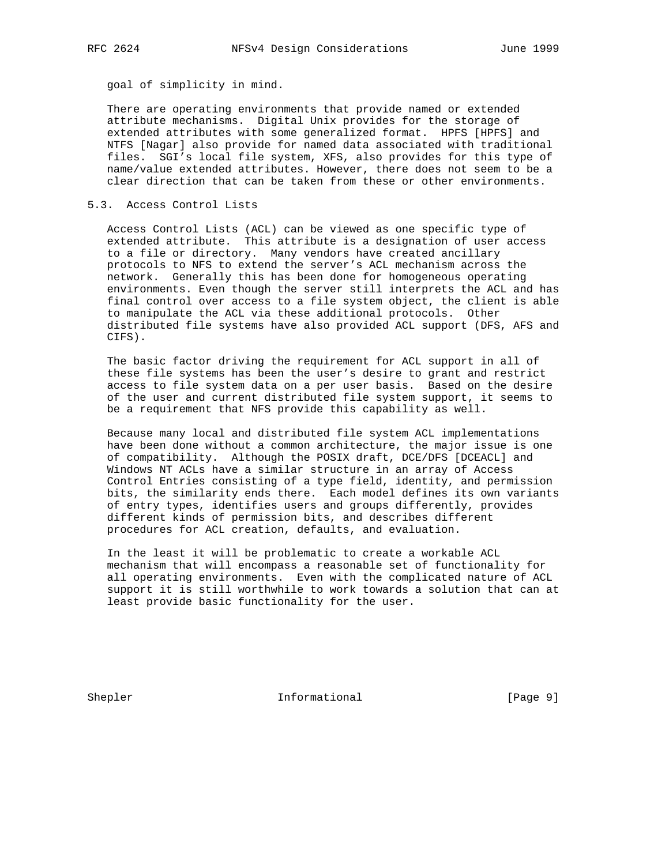goal of simplicity in mind.

 There are operating environments that provide named or extended attribute mechanisms. Digital Unix provides for the storage of extended attributes with some generalized format. HPFS [HPFS] and NTFS [Nagar] also provide for named data associated with traditional files. SGI's local file system, XFS, also provides for this type of name/value extended attributes. However, there does not seem to be a clear direction that can be taken from these or other environments.

#### 5.3. Access Control Lists

 Access Control Lists (ACL) can be viewed as one specific type of extended attribute. This attribute is a designation of user access to a file or directory. Many vendors have created ancillary protocols to NFS to extend the server's ACL mechanism across the network. Generally this has been done for homogeneous operating environments. Even though the server still interprets the ACL and has final control over access to a file system object, the client is able to manipulate the ACL via these additional protocols. Other distributed file systems have also provided ACL support (DFS, AFS and CIFS).

 The basic factor driving the requirement for ACL support in all of these file systems has been the user's desire to grant and restrict access to file system data on a per user basis. Based on the desire of the user and current distributed file system support, it seems to be a requirement that NFS provide this capability as well.

 Because many local and distributed file system ACL implementations have been done without a common architecture, the major issue is one of compatibility. Although the POSIX draft, DCE/DFS [DCEACL] and Windows NT ACLs have a similar structure in an array of Access Control Entries consisting of a type field, identity, and permission bits, the similarity ends there. Each model defines its own variants of entry types, identifies users and groups differently, provides different kinds of permission bits, and describes different procedures for ACL creation, defaults, and evaluation.

 In the least it will be problematic to create a workable ACL mechanism that will encompass a reasonable set of functionality for all operating environments. Even with the complicated nature of ACL support it is still worthwhile to work towards a solution that can at least provide basic functionality for the user.

Shepler Informational [Page 9]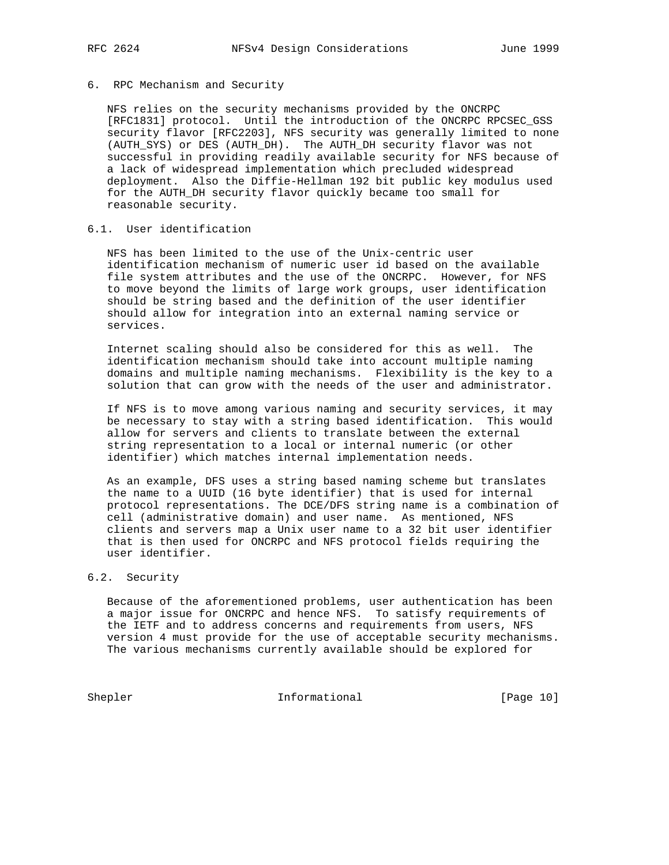#### 6. RPC Mechanism and Security

 NFS relies on the security mechanisms provided by the ONCRPC [RFC1831] protocol. Until the introduction of the ONCRPC RPCSEC GSS security flavor [RFC2203], NFS security was generally limited to none (AUTH\_SYS) or DES (AUTH\_DH). The AUTH\_DH security flavor was not successful in providing readily available security for NFS because of a lack of widespread implementation which precluded widespread deployment. Also the Diffie-Hellman 192 bit public key modulus used for the AUTH\_DH security flavor quickly became too small for reasonable security.

# 6.1. User identification

 NFS has been limited to the use of the Unix-centric user identification mechanism of numeric user id based on the available file system attributes and the use of the ONCRPC. However, for NFS to move beyond the limits of large work groups, user identification should be string based and the definition of the user identifier should allow for integration into an external naming service or services.

 Internet scaling should also be considered for this as well. The identification mechanism should take into account multiple naming domains and multiple naming mechanisms. Flexibility is the key to a solution that can grow with the needs of the user and administrator.

 If NFS is to move among various naming and security services, it may be necessary to stay with a string based identification. This would allow for servers and clients to translate between the external string representation to a local or internal numeric (or other identifier) which matches internal implementation needs.

 As an example, DFS uses a string based naming scheme but translates the name to a UUID (16 byte identifier) that is used for internal protocol representations. The DCE/DFS string name is a combination of cell (administrative domain) and user name. As mentioned, NFS clients and servers map a Unix user name to a 32 bit user identifier that is then used for ONCRPC and NFS protocol fields requiring the user identifier.

# 6.2. Security

 Because of the aforementioned problems, user authentication has been a major issue for ONCRPC and hence NFS. To satisfy requirements of the IETF and to address concerns and requirements from users, NFS version 4 must provide for the use of acceptable security mechanisms. The various mechanisms currently available should be explored for

Shepler Informational [Page 10]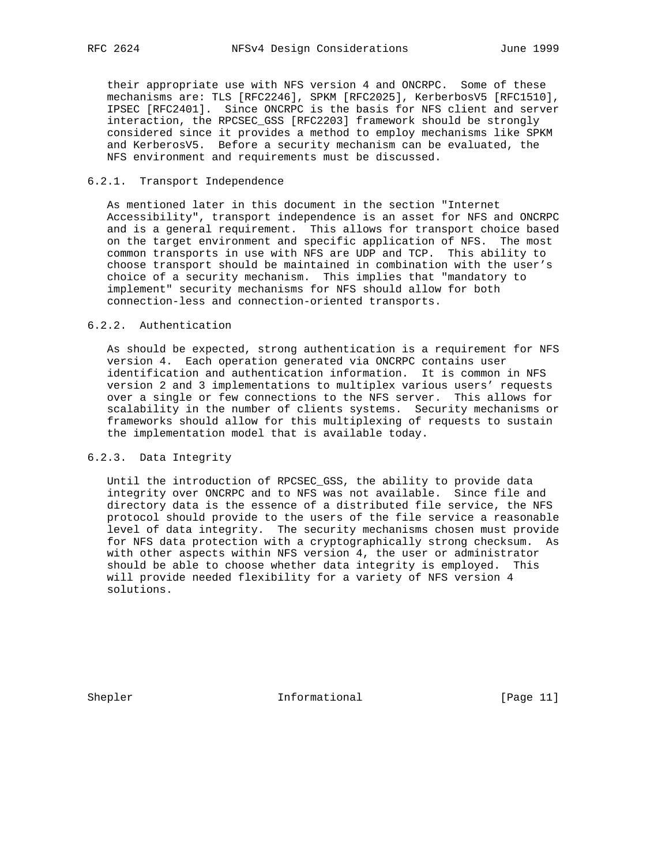their appropriate use with NFS version 4 and ONCRPC. Some of these mechanisms are: TLS [RFC2246], SPKM [RFC2025], KerberbosV5 [RFC1510], IPSEC [RFC2401]. Since ONCRPC is the basis for NFS client and server interaction, the RPCSEC\_GSS [RFC2203] framework should be strongly considered since it provides a method to employ mechanisms like SPKM and KerberosV5. Before a security mechanism can be evaluated, the NFS environment and requirements must be discussed.

#### 6.2.1. Transport Independence

 As mentioned later in this document in the section "Internet Accessibility", transport independence is an asset for NFS and ONCRPC and is a general requirement. This allows for transport choice based on the target environment and specific application of NFS. The most common transports in use with NFS are UDP and TCP. This ability to choose transport should be maintained in combination with the user's choice of a security mechanism. This implies that "mandatory to implement" security mechanisms for NFS should allow for both connection-less and connection-oriented transports.

#### 6.2.2. Authentication

 As should be expected, strong authentication is a requirement for NFS version 4. Each operation generated via ONCRPC contains user identification and authentication information. It is common in NFS version 2 and 3 implementations to multiplex various users' requests over a single or few connections to the NFS server. This allows for scalability in the number of clients systems. Security mechanisms or frameworks should allow for this multiplexing of requests to sustain the implementation model that is available today.

### 6.2.3. Data Integrity

 Until the introduction of RPCSEC\_GSS, the ability to provide data integrity over ONCRPC and to NFS was not available. Since file and directory data is the essence of a distributed file service, the NFS protocol should provide to the users of the file service a reasonable level of data integrity. The security mechanisms chosen must provide for NFS data protection with a cryptographically strong checksum. As with other aspects within NFS version 4, the user or administrator should be able to choose whether data integrity is employed. This will provide needed flexibility for a variety of NFS version 4 solutions.

Shepler Informational [Page 11]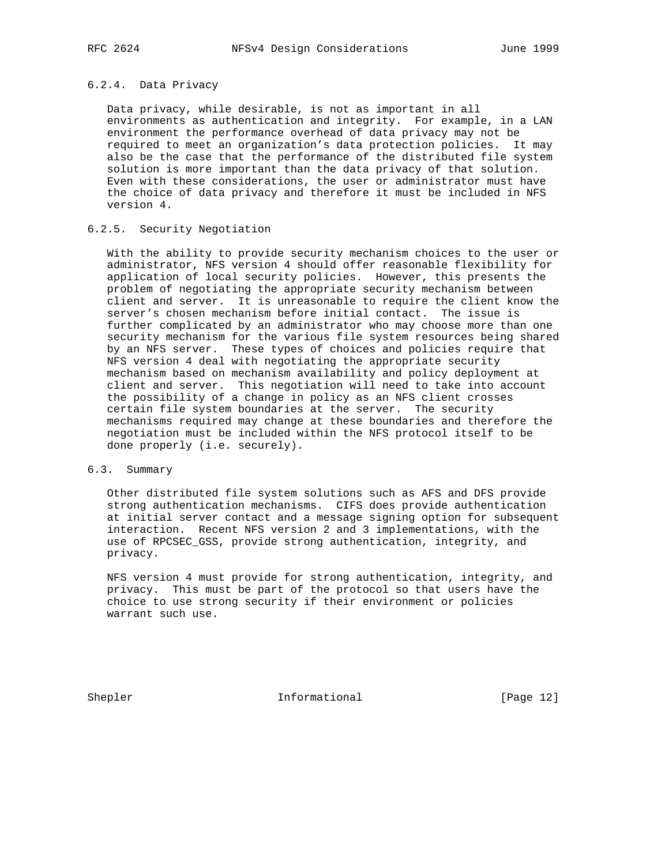## 6.2.4. Data Privacy

 Data privacy, while desirable, is not as important in all environments as authentication and integrity. For example, in a LAN environment the performance overhead of data privacy may not be required to meet an organization's data protection policies. It may also be the case that the performance of the distributed file system solution is more important than the data privacy of that solution. Even with these considerations, the user or administrator must have the choice of data privacy and therefore it must be included in NFS version 4.

#### 6.2.5. Security Negotiation

 With the ability to provide security mechanism choices to the user or administrator, NFS version 4 should offer reasonable flexibility for application of local security policies. However, this presents the problem of negotiating the appropriate security mechanism between client and server. It is unreasonable to require the client know the server's chosen mechanism before initial contact. The issue is further complicated by an administrator who may choose more than one security mechanism for the various file system resources being shared by an NFS server. These types of choices and policies require that NFS version 4 deal with negotiating the appropriate security mechanism based on mechanism availability and policy deployment at client and server. This negotiation will need to take into account the possibility of a change in policy as an NFS client crosses certain file system boundaries at the server. The security mechanisms required may change at these boundaries and therefore the negotiation must be included within the NFS protocol itself to be done properly (i.e. securely).

### 6.3. Summary

 Other distributed file system solutions such as AFS and DFS provide strong authentication mechanisms. CIFS does provide authentication at initial server contact and a message signing option for subsequent interaction. Recent NFS version 2 and 3 implementations, with the use of RPCSEC\_GSS, provide strong authentication, integrity, and privacy.

 NFS version 4 must provide for strong authentication, integrity, and privacy. This must be part of the protocol so that users have the choice to use strong security if their environment or policies warrant such use.

Shepler **Informational** [Page 12]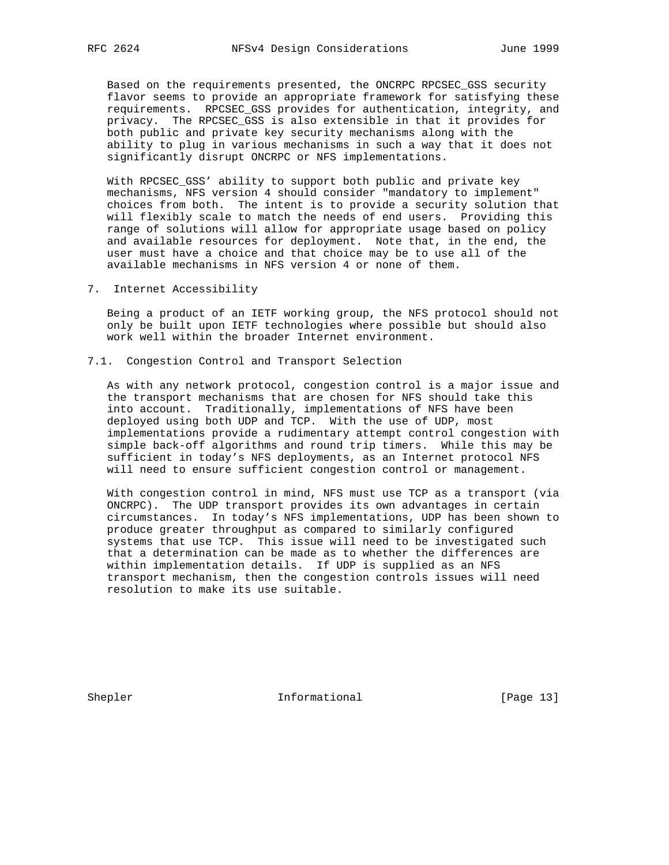Based on the requirements presented, the ONCRPC RPCSEC\_GSS security flavor seems to provide an appropriate framework for satisfying these requirements. RPCSEC\_GSS provides for authentication, integrity, and privacy. The RPCSEC\_GSS is also extensible in that it provides for both public and private key security mechanisms along with the ability to plug in various mechanisms in such a way that it does not significantly disrupt ONCRPC or NFS implementations.

 With RPCSEC\_GSS' ability to support both public and private key mechanisms, NFS version 4 should consider "mandatory to implement" choices from both. The intent is to provide a security solution that will flexibly scale to match the needs of end users. Providing this range of solutions will allow for appropriate usage based on policy and available resources for deployment. Note that, in the end, the user must have a choice and that choice may be to use all of the available mechanisms in NFS version 4 or none of them.

7. Internet Accessibility

 Being a product of an IETF working group, the NFS protocol should not only be built upon IETF technologies where possible but should also work well within the broader Internet environment.

7.1. Congestion Control and Transport Selection

 As with any network protocol, congestion control is a major issue and the transport mechanisms that are chosen for NFS should take this into account. Traditionally, implementations of NFS have been deployed using both UDP and TCP. With the use of UDP, most implementations provide a rudimentary attempt control congestion with simple back-off algorithms and round trip timers. While this may be sufficient in today's NFS deployments, as an Internet protocol NFS will need to ensure sufficient congestion control or management.

 With congestion control in mind, NFS must use TCP as a transport (via ONCRPC). The UDP transport provides its own advantages in certain circumstances. In today's NFS implementations, UDP has been shown to produce greater throughput as compared to similarly configured systems that use TCP. This issue will need to be investigated such that a determination can be made as to whether the differences are within implementation details. If UDP is supplied as an NFS transport mechanism, then the congestion controls issues will need resolution to make its use suitable.

Shepler Informational [Page 13]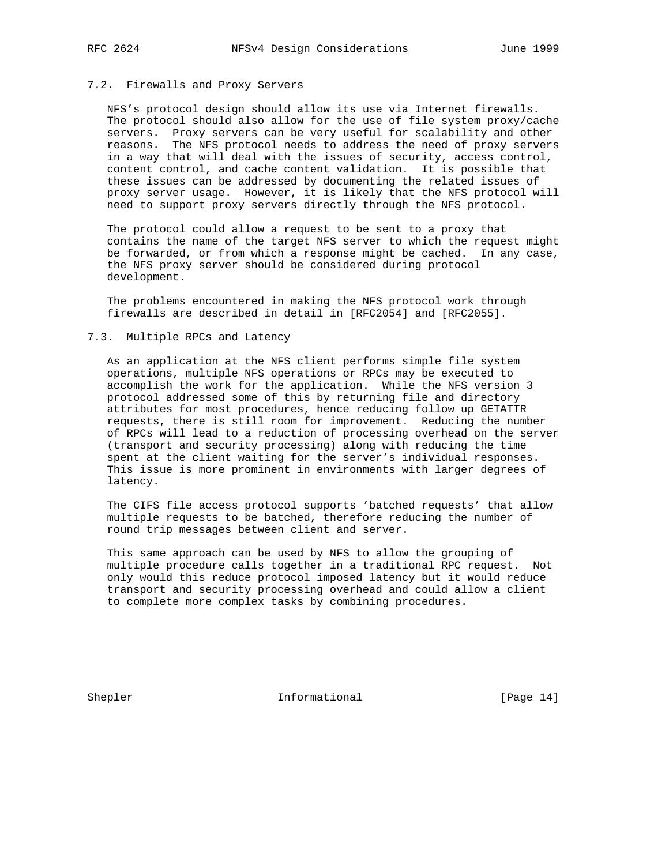# 7.2. Firewalls and Proxy Servers

 NFS's protocol design should allow its use via Internet firewalls. The protocol should also allow for the use of file system proxy/cache servers. Proxy servers can be very useful for scalability and other reasons. The NFS protocol needs to address the need of proxy servers in a way that will deal with the issues of security, access control, content control, and cache content validation. It is possible that these issues can be addressed by documenting the related issues of proxy server usage. However, it is likely that the NFS protocol will need to support proxy servers directly through the NFS protocol.

 The protocol could allow a request to be sent to a proxy that contains the name of the target NFS server to which the request might be forwarded, or from which a response might be cached. In any case, the NFS proxy server should be considered during protocol development.

 The problems encountered in making the NFS protocol work through firewalls are described in detail in [RFC2054] and [RFC2055].

#### 7.3. Multiple RPCs and Latency

 As an application at the NFS client performs simple file system operations, multiple NFS operations or RPCs may be executed to accomplish the work for the application. While the NFS version 3 protocol addressed some of this by returning file and directory attributes for most procedures, hence reducing follow up GETATTR requests, there is still room for improvement. Reducing the number of RPCs will lead to a reduction of processing overhead on the server (transport and security processing) along with reducing the time spent at the client waiting for the server's individual responses. This issue is more prominent in environments with larger degrees of latency.

 The CIFS file access protocol supports 'batched requests' that allow multiple requests to be batched, therefore reducing the number of round trip messages between client and server.

 This same approach can be used by NFS to allow the grouping of multiple procedure calls together in a traditional RPC request. Not only would this reduce protocol imposed latency but it would reduce transport and security processing overhead and could allow a client to complete more complex tasks by combining procedures.

Shepler Informational [Page 14]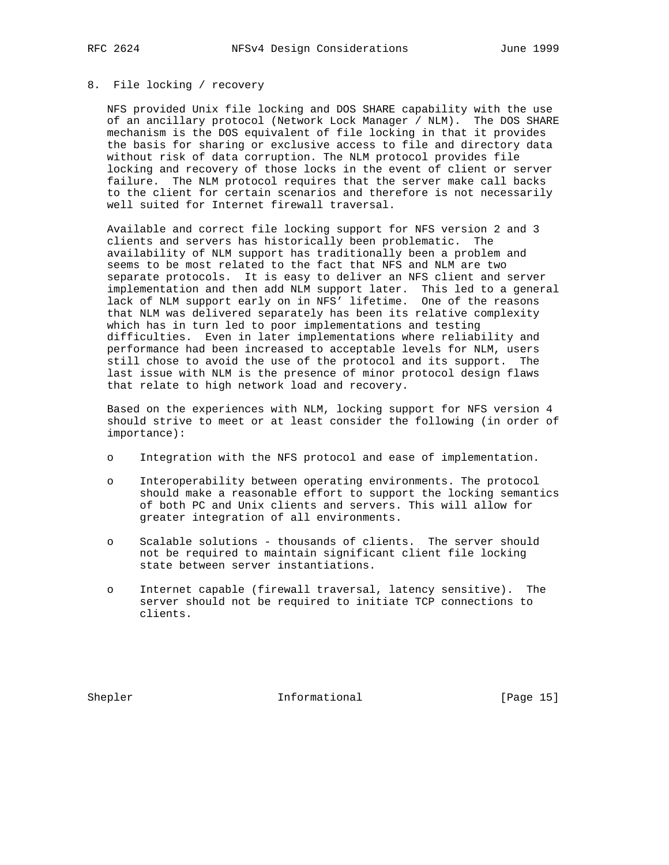# 8. File locking / recovery

 NFS provided Unix file locking and DOS SHARE capability with the use of an ancillary protocol (Network Lock Manager / NLM). The DOS SHARE mechanism is the DOS equivalent of file locking in that it provides the basis for sharing or exclusive access to file and directory data without risk of data corruption. The NLM protocol provides file locking and recovery of those locks in the event of client or server failure. The NLM protocol requires that the server make call backs to the client for certain scenarios and therefore is not necessarily well suited for Internet firewall traversal.

 Available and correct file locking support for NFS version 2 and 3 clients and servers has historically been problematic. The availability of NLM support has traditionally been a problem and seems to be most related to the fact that NFS and NLM are two separate protocols. It is easy to deliver an NFS client and server implementation and then add NLM support later. This led to a general lack of NLM support early on in NFS' lifetime. One of the reasons that NLM was delivered separately has been its relative complexity which has in turn led to poor implementations and testing difficulties. Even in later implementations where reliability and performance had been increased to acceptable levels for NLM, users still chose to avoid the use of the protocol and its support. The last issue with NLM is the presence of minor protocol design flaws that relate to high network load and recovery.

 Based on the experiences with NLM, locking support for NFS version 4 should strive to meet or at least consider the following (in order of importance):

- o Integration with the NFS protocol and ease of implementation.
- o Interoperability between operating environments. The protocol should make a reasonable effort to support the locking semantics of both PC and Unix clients and servers. This will allow for greater integration of all environments.
- o Scalable solutions thousands of clients. The server should not be required to maintain significant client file locking state between server instantiations.
- o Internet capable (firewall traversal, latency sensitive). The server should not be required to initiate TCP connections to clients.

Shepler **Informational** [Page 15]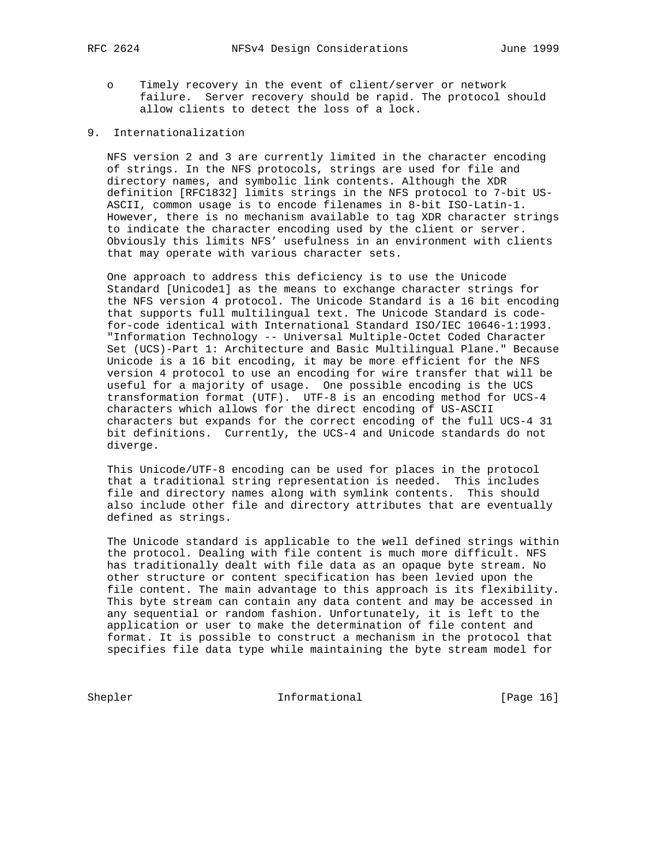- - o Timely recovery in the event of client/server or network failure. Server recovery should be rapid. The protocol should allow clients to detect the loss of a lock.
- 9. Internationalization

 NFS version 2 and 3 are currently limited in the character encoding of strings. In the NFS protocols, strings are used for file and directory names, and symbolic link contents. Although the XDR definition [RFC1832] limits strings in the NFS protocol to 7-bit US- ASCII, common usage is to encode filenames in 8-bit ISO-Latin-1. However, there is no mechanism available to tag XDR character strings to indicate the character encoding used by the client or server. Obviously this limits NFS' usefulness in an environment with clients that may operate with various character sets.

 One approach to address this deficiency is to use the Unicode Standard [Unicode1] as the means to exchange character strings for the NFS version 4 protocol. The Unicode Standard is a 16 bit encoding that supports full multilingual text. The Unicode Standard is code for-code identical with International Standard ISO/IEC 10646-1:1993. "Information Technology -- Universal Multiple-Octet Coded Character Set (UCS)-Part 1: Architecture and Basic Multilingual Plane." Because Unicode is a 16 bit encoding, it may be more efficient for the NFS version 4 protocol to use an encoding for wire transfer that will be useful for a majority of usage. One possible encoding is the UCS transformation format (UTF). UTF-8 is an encoding method for UCS-4 characters which allows for the direct encoding of US-ASCII characters but expands for the correct encoding of the full UCS-4 31 bit definitions. Currently, the UCS-4 and Unicode standards do not diverge.

 This Unicode/UTF-8 encoding can be used for places in the protocol that a traditional string representation is needed. This includes file and directory names along with symlink contents. This should also include other file and directory attributes that are eventually defined as strings.

 The Unicode standard is applicable to the well defined strings within the protocol. Dealing with file content is much more difficult. NFS has traditionally dealt with file data as an opaque byte stream. No other structure or content specification has been levied upon the file content. The main advantage to this approach is its flexibility. This byte stream can contain any data content and may be accessed in any sequential or random fashion. Unfortunately, it is left to the application or user to make the determination of file content and format. It is possible to construct a mechanism in the protocol that specifies file data type while maintaining the byte stream model for

Shepler Informational [Page 16]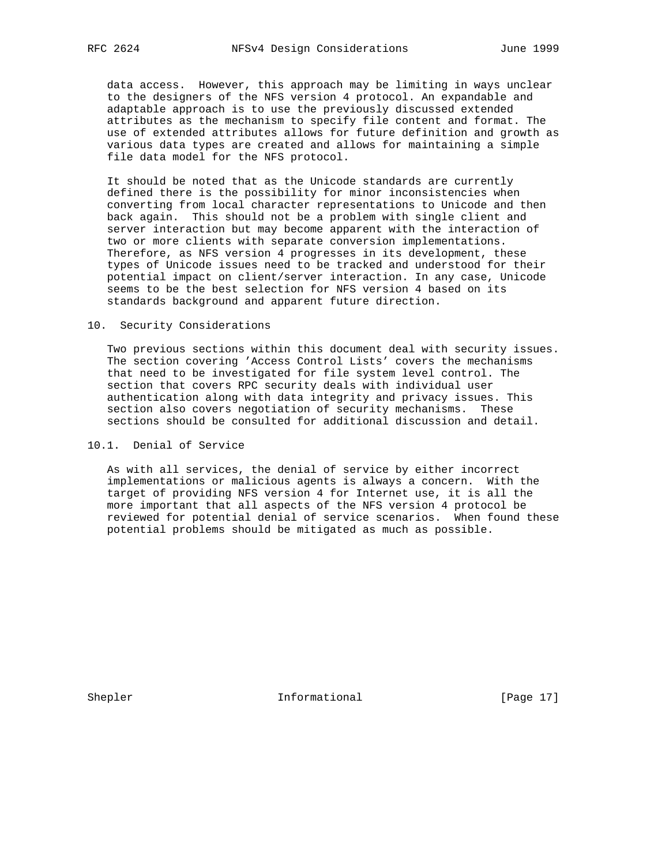data access. However, this approach may be limiting in ways unclear to the designers of the NFS version 4 protocol. An expandable and adaptable approach is to use the previously discussed extended attributes as the mechanism to specify file content and format. The use of extended attributes allows for future definition and growth as various data types are created and allows for maintaining a simple file data model for the NFS protocol.

 It should be noted that as the Unicode standards are currently defined there is the possibility for minor inconsistencies when converting from local character representations to Unicode and then back again. This should not be a problem with single client and server interaction but may become apparent with the interaction of two or more clients with separate conversion implementations. Therefore, as NFS version 4 progresses in its development, these types of Unicode issues need to be tracked and understood for their potential impact on client/server interaction. In any case, Unicode seems to be the best selection for NFS version 4 based on its standards background and apparent future direction.

#### 10. Security Considerations

 Two previous sections within this document deal with security issues. The section covering 'Access Control Lists' covers the mechanisms that need to be investigated for file system level control. The section that covers RPC security deals with individual user authentication along with data integrity and privacy issues. This section also covers negotiation of security mechanisms. These sections should be consulted for additional discussion and detail.

10.1. Denial of Service

 As with all services, the denial of service by either incorrect implementations or malicious agents is always a concern. With the target of providing NFS version 4 for Internet use, it is all the more important that all aspects of the NFS version 4 protocol be reviewed for potential denial of service scenarios. When found these potential problems should be mitigated as much as possible.

Shepler **Informational** [Page 17]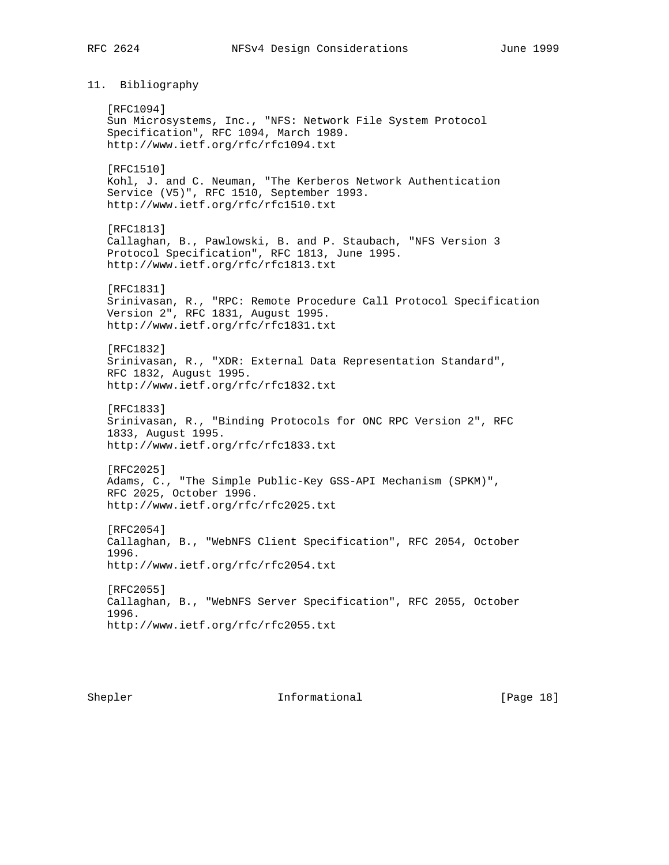11. Bibliography

 [RFC1094] Sun Microsystems, Inc., "NFS: Network File System Protocol Specification", RFC 1094, March 1989. http://www.ietf.org/rfc/rfc1094.txt [RFC1510] Kohl, J. and C. Neuman, "The Kerberos Network Authentication Service (V5)", RFC 1510, September 1993. http://www.ietf.org/rfc/rfc1510.txt [RFC1813] Callaghan, B., Pawlowski, B. and P. Staubach, "NFS Version 3 Protocol Specification", RFC 1813, June 1995. http://www.ietf.org/rfc/rfc1813.txt [RFC1831] Srinivasan, R., "RPC: Remote Procedure Call Protocol Specification Version 2", RFC 1831, August 1995. http://www.ietf.org/rfc/rfc1831.txt [RFC1832] Srinivasan, R., "XDR: External Data Representation Standard", RFC 1832, August 1995. http://www.ietf.org/rfc/rfc1832.txt [RFC1833] Srinivasan, R., "Binding Protocols for ONC RPC Version 2", RFC 1833, August 1995. http://www.ietf.org/rfc/rfc1833.txt [RFC2025] Adams, C., "The Simple Public-Key GSS-API Mechanism (SPKM)", RFC 2025, October 1996. http://www.ietf.org/rfc/rfc2025.txt [RFC2054] Callaghan, B., "WebNFS Client Specification", RFC 2054, October 1996. http://www.ietf.org/rfc/rfc2054.txt [RFC2055] Callaghan, B., "WebNFS Server Specification", RFC 2055, October 1996. http://www.ietf.org/rfc/rfc2055.txt

Shepler **Informational** [Page 18]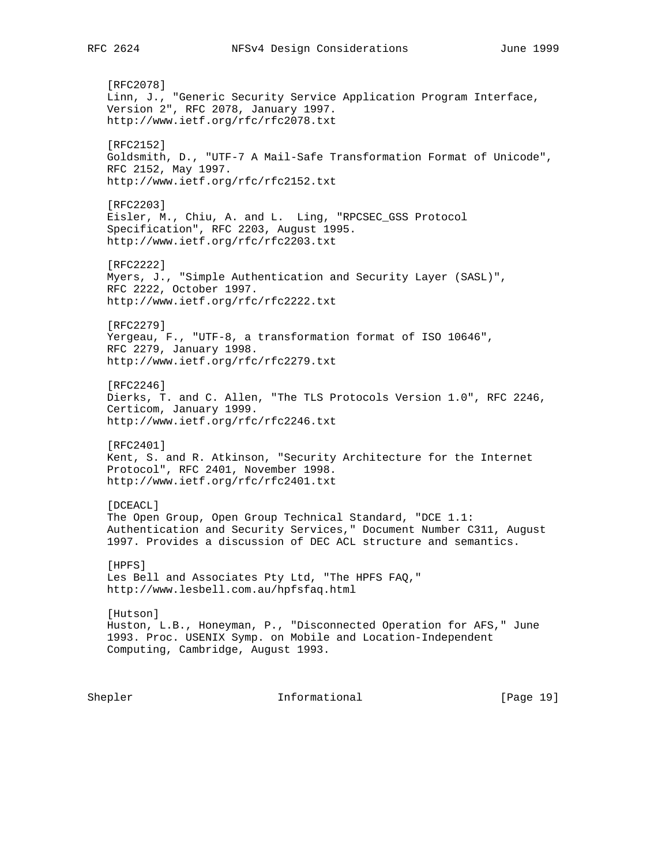[RFC2078] Linn, J., "Generic Security Service Application Program Interface, Version 2", RFC 2078, January 1997. http://www.ietf.org/rfc/rfc2078.txt [RFC2152] Goldsmith, D., "UTF-7 A Mail-Safe Transformation Format of Unicode", RFC 2152, May 1997. http://www.ietf.org/rfc/rfc2152.txt [RFC2203] Eisler, M., Chiu, A. and L. Ling, "RPCSEC\_GSS Protocol Specification", RFC 2203, August 1995. http://www.ietf.org/rfc/rfc2203.txt [RFC2222] Myers, J., "Simple Authentication and Security Layer (SASL)", RFC 2222, October 1997. http://www.ietf.org/rfc/rfc2222.txt [RFC2279] Yergeau, F., "UTF-8, a transformation format of ISO 10646", RFC 2279, January 1998. http://www.ietf.org/rfc/rfc2279.txt [RFC2246] Dierks, T. and C. Allen, "The TLS Protocols Version 1.0", RFC 2246, Certicom, January 1999. http://www.ietf.org/rfc/rfc2246.txt [RFC2401] Kent, S. and R. Atkinson, "Security Architecture for the Internet Protocol", RFC 2401, November 1998. http://www.ietf.org/rfc/rfc2401.txt [DCEACL] The Open Group, Open Group Technical Standard, "DCE 1.1: Authentication and Security Services," Document Number C311, August 1997. Provides a discussion of DEC ACL structure and semantics. [HPFS] Les Bell and Associates Pty Ltd, "The HPFS FAQ," http://www.lesbell.com.au/hpfsfaq.html [Hutson] Huston, L.B., Honeyman, P., "Disconnected Operation for AFS," June 1993. Proc. USENIX Symp. on Mobile and Location-Independent Computing, Cambridge, August 1993. Shepler Informational [Page 19]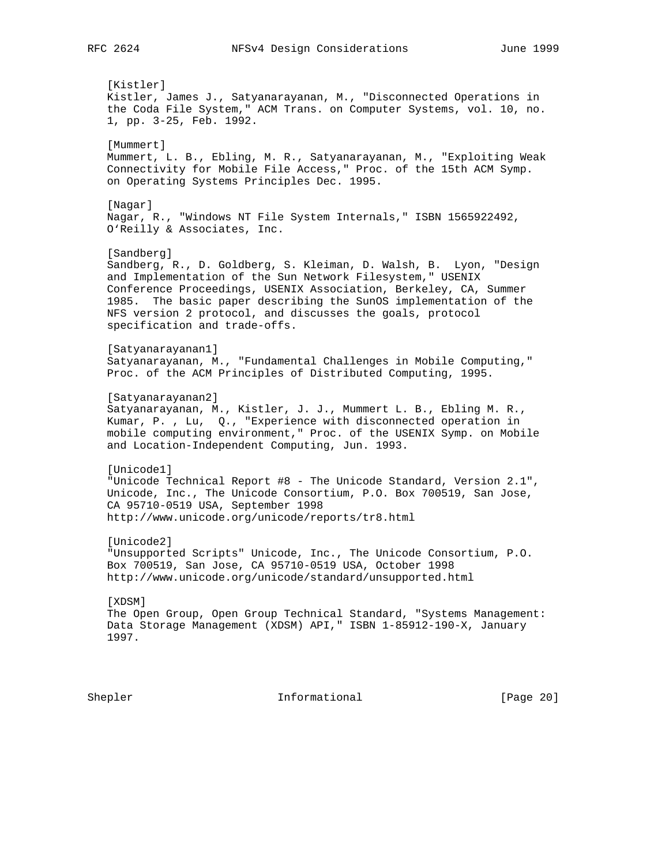[Kistler] Kistler, James J., Satyanarayanan, M., "Disconnected Operations in the Coda File System," ACM Trans. on Computer Systems, vol. 10, no. 1, pp. 3-25, Feb. 1992. [Mummert] Mummert, L. B., Ebling, M. R., Satyanarayanan, M., "Exploiting Weak Connectivity for Mobile File Access," Proc. of the 15th ACM Symp. on Operating Systems Principles Dec. 1995. [Nagar] Nagar, R., "Windows NT File System Internals," ISBN 1565922492, O'Reilly & Associates, Inc. [Sandberg] Sandberg, R., D. Goldberg, S. Kleiman, D. Walsh, B. Lyon, "Design and Implementation of the Sun Network Filesystem," USENIX Conference Proceedings, USENIX Association, Berkeley, CA, Summer 1985. The basic paper describing the SunOS implementation of the NFS version 2 protocol, and discusses the goals, protocol specification and trade-offs. [Satyanarayanan1] Satyanarayanan, M., "Fundamental Challenges in Mobile Computing," Proc. of the ACM Principles of Distributed Computing, 1995. [Satyanarayanan2] Satyanarayanan, M., Kistler, J. J., Mummert L. B., Ebling M. R., Kumar, P. , Lu, Q., "Experience with disconnected operation in mobile computing environment," Proc. of the USENIX Symp. on Mobile and Location-Independent Computing, Jun. 1993. [Unicode1] "Unicode Technical Report #8 - The Unicode Standard, Version 2.1", Unicode, Inc., The Unicode Consortium, P.O. Box 700519, San Jose, CA 95710-0519 USA, September 1998 http://www.unicode.org/unicode/reports/tr8.html [Unicode2] "Unsupported Scripts" Unicode, Inc., The Unicode Consortium, P.O. Box 700519, San Jose, CA 95710-0519 USA, October 1998 http://www.unicode.org/unicode/standard/unsupported.html [XDSM] The Open Group, Open Group Technical Standard, "Systems Management: Data Storage Management (XDSM) API," ISBN 1-85912-190-X, January 1997.

Shepler Informational [Page 20]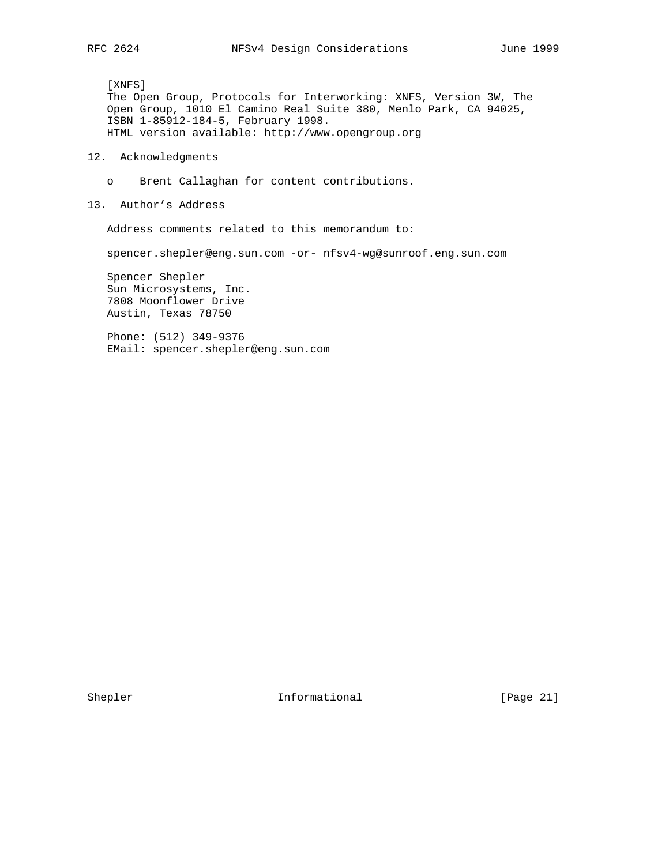[XNFS] The Open Group, Protocols for Interworking: XNFS, Version 3W, The Open Group, 1010 El Camino Real Suite 380, Menlo Park, CA 94025, ISBN 1-85912-184-5, February 1998. HTML version available: http://www.opengroup.org

- 12. Acknowledgments
	- o Brent Callaghan for content contributions.
- 13. Author's Address

Address comments related to this memorandum to:

spencer.shepler@eng.sun.com -or- nfsv4-wg@sunroof.eng.sun.com

 Spencer Shepler Sun Microsystems, Inc. 7808 Moonflower Drive Austin, Texas 78750

 Phone: (512) 349-9376 EMail: spencer.shepler@eng.sun.com

Shepler **Informational** [Page 21]